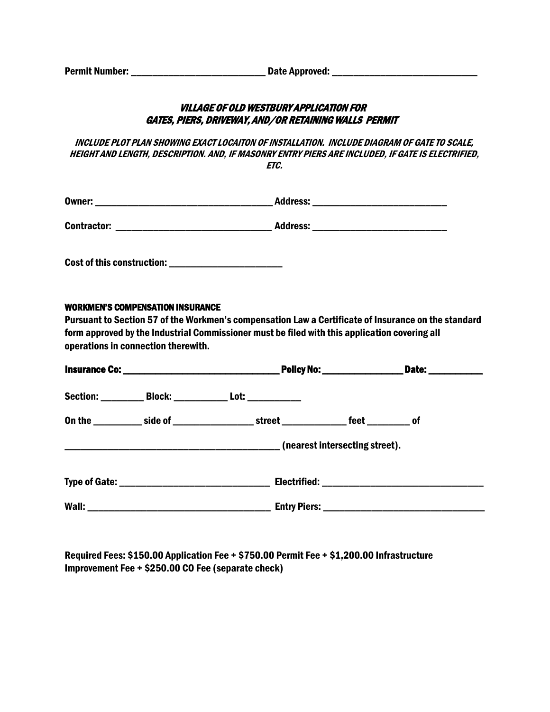| <b>Permit Number:</b> | Date Approved: |
|-----------------------|----------------|
|-----------------------|----------------|

## VILLAGE OF OLD WESTBURY APPLICATION FOR GATES, PIERS, DRIVEWAY, AND/OR RETAINING WALLS PERMIT

INCLUDE PLOT PLAN SHOWING EXACT LOCAITON OF INSTALLATION. INCLUDE DIAGRAM OF GATE TO SCALE, HEIGHT AND LENGTH, DESCRIPTION. AND, IF MASONRY ENTRY PIERS ARE INCLUDED, IF GATE IS ELECTRIFIED, ETC.

| Owner:             | <b>Address:</b> |
|--------------------|-----------------|
| <b>Contractor:</b> | <b>Address:</b> |

Cost of this construction:

## WORKMEN'S COMPENSATION INSURANCE

Pursuant to Section 57 of the Workmen's compensation Law a Certificate of Insurance on the standard form approved by the Industrial Commissioner must be filed with this application covering all operations in connection therewith.

|  |  | Section: ____________ Block: ______________ Lot: _____________                                |                                |  |
|--|--|-----------------------------------------------------------------------------------------------|--------------------------------|--|
|  |  | On the ___________ side of ______________________street ________________ feet ____________ of |                                |  |
|  |  |                                                                                               | (nearest intersecting street). |  |
|  |  |                                                                                               |                                |  |
|  |  |                                                                                               |                                |  |

Required Fees: \$150.00 Application Fee + \$750.00 Permit Fee + \$1,200.00 Infrastructure Improvement Fee + \$250.00 CO Fee (separate check)